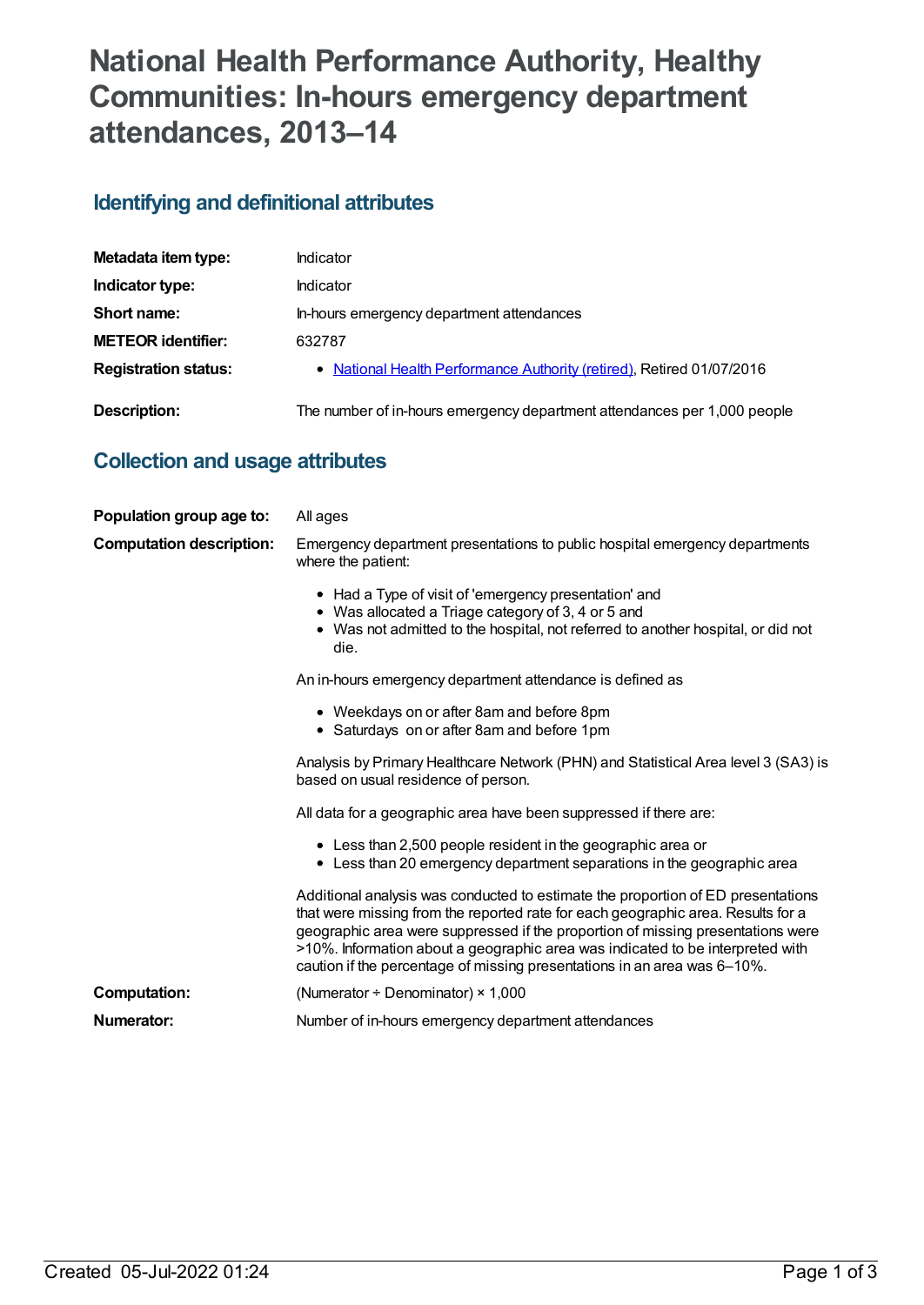# **National Health Performance Authority, Healthy Communities: In-hours emergency department attendances, 2013–14**

## **Identifying and definitional attributes**

| Metadata item type:         | Indicator                                                                |
|-----------------------------|--------------------------------------------------------------------------|
| Indicator type:             | <b>Indicator</b>                                                         |
| Short name:                 | In-hours emergency department attendances                                |
| <b>METEOR identifier:</b>   | 632787                                                                   |
| <b>Registration status:</b> | • National Health Performance Authority (retired), Retired 01/07/2016    |
| Description:                | The number of in-hours emergency department attendances per 1,000 people |

## **Collection and usage attributes**

| Population group age to:        | All ages                                                                                                                                                                                                                                                                                                                                                                                                              |
|---------------------------------|-----------------------------------------------------------------------------------------------------------------------------------------------------------------------------------------------------------------------------------------------------------------------------------------------------------------------------------------------------------------------------------------------------------------------|
| <b>Computation description:</b> | Emergency department presentations to public hospital emergency departments<br>where the patient:                                                                                                                                                                                                                                                                                                                     |
|                                 | • Had a Type of visit of 'emergency presentation' and<br>• Was allocated a Triage category of 3, 4 or 5 and<br>• Was not admitted to the hospital, not referred to another hospital, or did not<br>die.                                                                                                                                                                                                               |
|                                 | An in-hours emergency department attendance is defined as                                                                                                                                                                                                                                                                                                                                                             |
|                                 | • Weekdays on or after 8am and before 8pm<br>• Saturdays on or after 8am and before 1pm                                                                                                                                                                                                                                                                                                                               |
|                                 | Analysis by Primary Healthcare Network (PHN) and Statistical Area level 3 (SA3) is<br>based on usual residence of person.                                                                                                                                                                                                                                                                                             |
|                                 | All data for a geographic area have been suppressed if there are:                                                                                                                                                                                                                                                                                                                                                     |
|                                 | • Less than 2,500 people resident in the geographic area or<br>• Less than 20 emergency department separations in the geographic area                                                                                                                                                                                                                                                                                 |
|                                 | Additional analysis was conducted to estimate the proportion of ED presentations<br>that were missing from the reported rate for each geographic area. Results for a<br>geographic area were suppressed if the proportion of missing presentations were<br>>10%. Information about a geographic area was indicated to be interpreted with<br>caution if the percentage of missing presentations in an area was 6-10%. |
| <b>Computation:</b>             | (Numerator $\div$ Denominator) $\times$ 1,000                                                                                                                                                                                                                                                                                                                                                                         |
| Numerator:                      | Number of in-hours emergency department attendances                                                                                                                                                                                                                                                                                                                                                                   |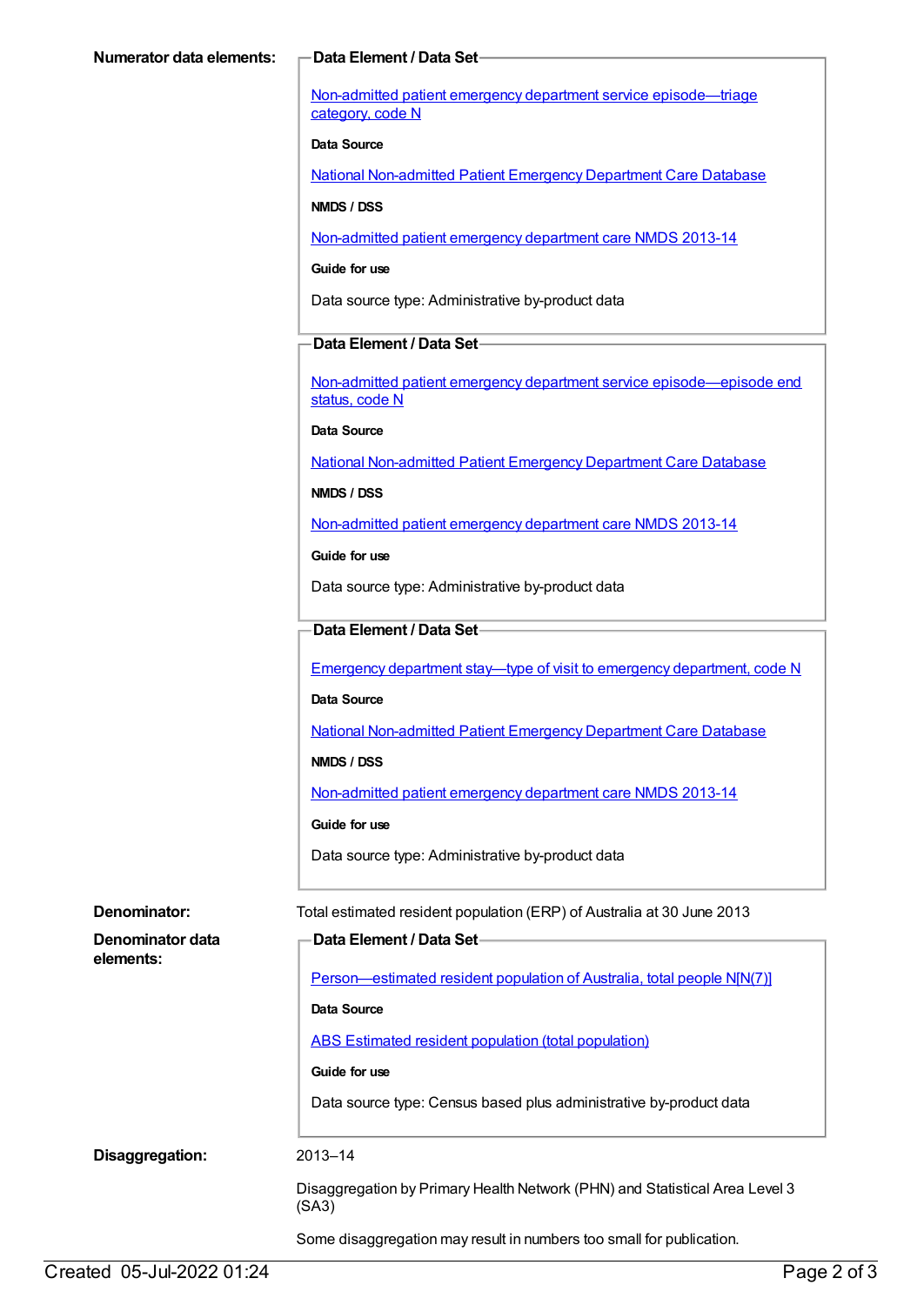Non-admitted patient emergency department service [episode—triage](https://meteor.aihw.gov.au/content/471926) category, code N

#### **Data Source**

National [Non-admitted](https://meteor.aihw.gov.au/content/394733) Patient Emergency Department Care Database

#### **NMDS / DSS**

[Non-admitted](https://meteor.aihw.gov.au/content/509116) patient emergency department care NMDS 2013-14

#### **Guide for use**

Data source type: Administrative by-product data

#### **Data Element / Data Set**

Non-admitted patient emergency department service [episode—episode](https://meteor.aihw.gov.au/content/474159) end status, code N

**Data Source**

National [Non-admitted](https://meteor.aihw.gov.au/content/394733) Patient Emergency Department Care Database

#### **NMDS / DSS**

[Non-admitted](https://meteor.aihw.gov.au/content/509116) patient emergency department care NMDS 2013-14

**Guide for use**

Data source type: Administrative by-product data

#### **Data Element / Data Set**

**Data Element / Data Set**

Emergency department stay—type of visit to emergency [department,](https://meteor.aihw.gov.au/content/474195) code N

#### **Data Source**

National [Non-admitted](https://meteor.aihw.gov.au/content/394733) Patient Emergency Department Care Database

**NMDS / DSS**

[Non-admitted](https://meteor.aihw.gov.au/content/509116) patient emergency department care NMDS 2013-14

#### **Guide for use**

Data source type: Administrative by-product data

**Denominator:** Total estimated resident population (ERP) of Australia at 30 June 2013

| Denominator data |  |
|------------------|--|
| elements:        |  |

[Person—estimated](https://meteor.aihw.gov.au/content/388656) resident population of Australia, total people N[N(7)]

#### **Data Source**

ABS Estimated resident population (total [population\)](https://meteor.aihw.gov.au/content/393625)

#### **Guide for use**

Data source type: Census based plus administrative by-product data

**Disaggregation:** 2013–14

Disaggregation by Primary Health Network (PHN) and Statistical Area Level 3 (SA3)

Some disaggregation may result in numbers too small for publication.